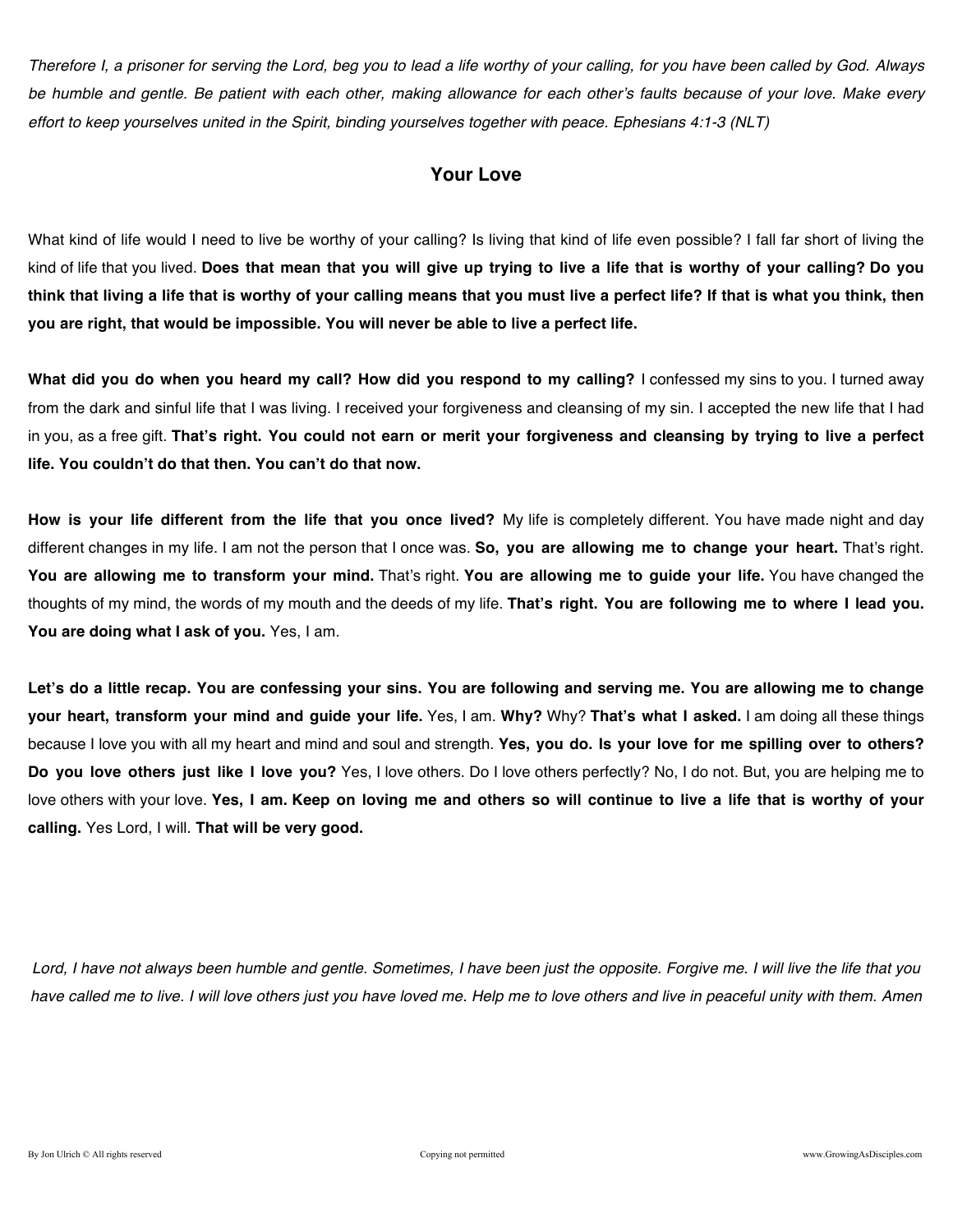*Therefore I, a prisoner for serving the Lord, beg you to lead a life worthy of your calling, for you have been called by God. Always be humble and gentle. Be patient with each other, making allowance for each other's faults because of your love. Make every effort to keep yourselves united in the Spirit, binding yourselves together with peace. Ephesians 4:1-3 (NLT)* 

# **Your Love**

What kind of life would I need to live be worthy of your calling? Is living that kind of life even possible? I fall far short of living the kind of life that you lived. **Does that mean that you will give up trying to live a life that is worthy of your calling? Do you think that living a life that is worthy of your calling means that you must live a perfect life? If that is what you think, then you are right, that would be impossible. You will never be able to live a perfect life.**

**What did you do when you heard my call? How did you respond to my calling?** I confessed my sins to you. I turned away from the dark and sinful life that I was living. I received your forgiveness and cleansing of my sin. I accepted the new life that I had in you, as a free gift. **That's right. You could not earn or merit your forgiveness and cleansing by trying to live a perfect life. You couldn't do that then. You can't do that now.**

**How is your life different from the life that you once lived?** My life is completely different. You have made night and day different changes in my life. I am not the person that I once was. **So, you are allowing me to change your heart.** That's right. **You are allowing me to transform your mind.** That's right. **You are allowing me to guide your life.** You have changed the thoughts of my mind, the words of my mouth and the deeds of my life. **That's right. You are following me to where I lead you. You are doing what I ask of you.** Yes, I am.

**Let's do a little recap. You are confessing your sins. You are following and serving me. You are allowing me to change your heart, transform your mind and guide your life.** Yes, I am. **Why?** Why? **That's what I asked.** I am doing all these things because I love you with all my heart and mind and soul and strength. **Yes, you do. Is your love for me spilling over to others? Do you love others just like I love you?** Yes, I love others. Do I love others perfectly? No, I do not. But, you are helping me to love others with your love. **Yes, I am. Keep on loving me and others so will continue to live a life that is worthy of your calling.** Yes Lord, I will. **That will be very good.**

*Lord, I have not always been humble and gentle. Sometimes, I have been just the opposite. Forgive me. I will live the life that you have called me to live. I will love others just you have loved me. Help me to love others and live in peaceful unity with them. Amen*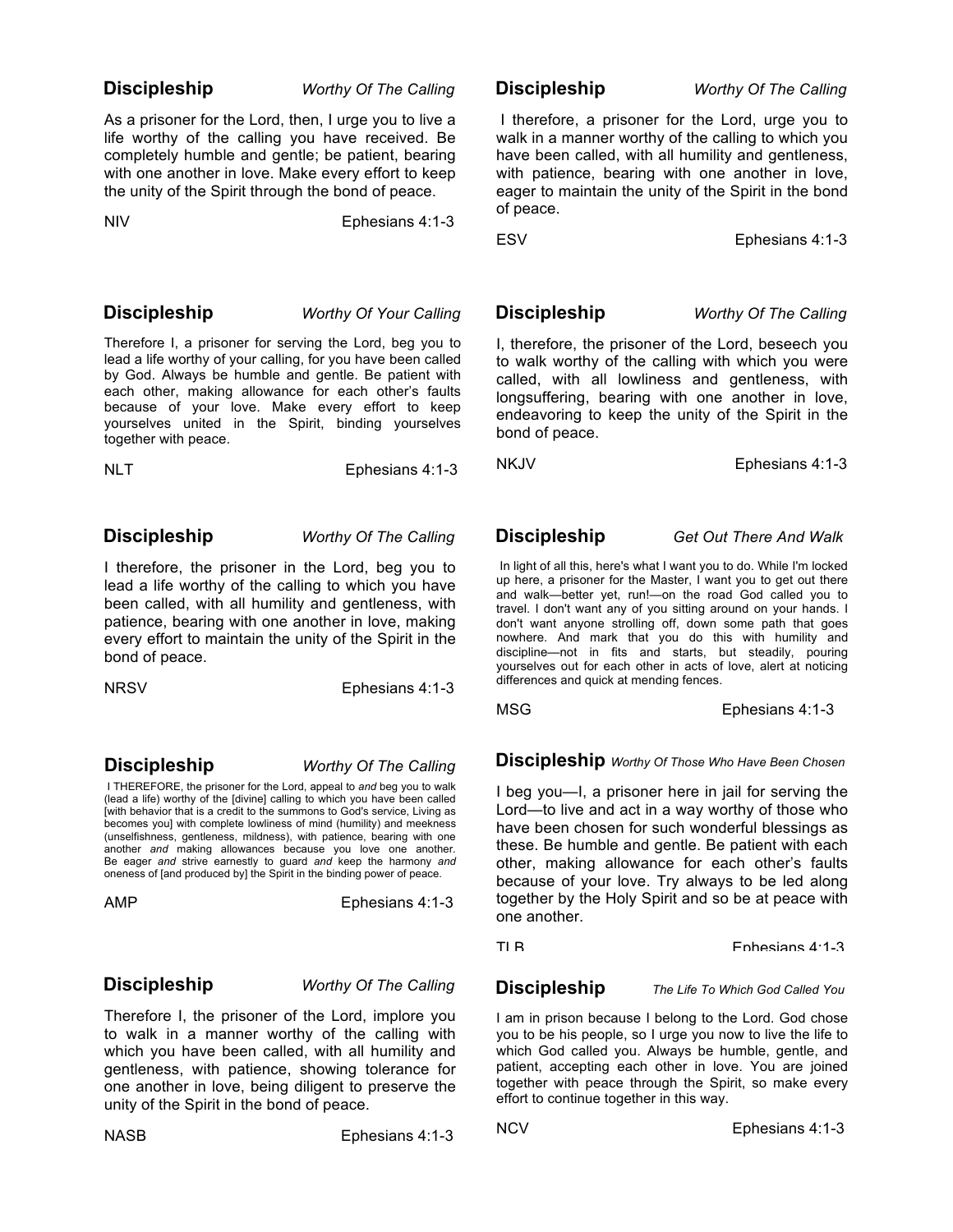## **Discipleship** *Worthy Of The Calling*

As a prisoner for the Lord, then, I urge you to live a life worthy of the calling you have received. Be completely humble and gentle; be patient, bearing with one another in love. Make every effort to keep the unity of the Spirit through the bond of peace.

NIV Ephesians 4:1-3

# **Discipleship** *Worthy Of Your Calling*

Therefore I, a prisoner for serving the Lord, beg you to lead a life worthy of your calling, for you have been called by God. Always be humble and gentle. Be patient with each other, making allowance for each other's faults because of your love. Make every effort to keep yourselves united in the Spirit, binding yourselves together with peace.

NLT Ephesians 4:1-3

## **Discipleship** *Worthy Of The Calling*

I therefore, the prisoner in the Lord, beg you to lead a life worthy of the calling to which you have been called, with all humility and gentleness, with patience, bearing with one another in love, making every effort to maintain the unity of the Spirit in the bond of peace.

NRSV Ephesians 4:1-3

### **Discipleship** *Worthy Of The Calling*

I THEREFORE, the prisoner for the Lord, appeal to *and* beg you to walk (lead a life) worthy of the [divine] calling to which you have been called [with behavior that is a credit to the summons to God's service, Living as becomes you] with complete lowliness of mind (humility) and meekness (unselfishness, gentleness, mildness), with patience, bearing with one another *and* making allowances because you love one another. Be eager *and* strive earnestly to guard *and* keep the harmony *and* oneness of [and produced by] the Spirit in the binding power of peace.

AMP Ephesians 4:1-3

# **Discipleship** *Worthy Of The Calling*

Therefore I, the prisoner of the Lord, implore you to walk in a manner worthy of the calling with which you have been called, with all humility and gentleness, with patience, showing tolerance for one another in love, being diligent to preserve the unity of the Spirit in the bond of peace.

NASB Ephesians 4:1-3

 **Discipleship** *Worthy Of The Calling*

I therefore, a prisoner for the Lord, urge you to walk in a manner worthy of the calling to which you have been called, with all humility and gentleness, with patience, bearing with one another in love, eager to maintain the unity of the Spirit in the bond of peace.

ESV Ephesians 4:1-3

 **Discipleship** *Worthy Of The Calling*

I, therefore, the prisoner of the Lord, beseech you to walk worthy of the calling with which you were called, with all lowliness and gentleness, with longsuffering, bearing with one another in love, endeavoring to keep the unity of the Spirit in the bond of peace.

### NKJV Ephesians 4:1-3

 **Discipleship** *Get Out There And Walk*

In light of all this, here's what I want you to do. While I'm locked up here, a prisoner for the Master, I want you to get out there and walk—better yet, run!—on the road God called you to travel. I don't want any of you sitting around on your hands. I don't want anyone strolling off, down some path that goes nowhere. And mark that you do this with humility and discipline—not in fits and starts, but steadily, pouring yourselves out for each other in acts of love, alert at noticing differences and quick at mending fences.

### MSGEphesians 4:1-3

 **Discipleship** *Worthy Of Those Who Have Been Chosen*

I beg you—I, a prisoner here in jail for serving the Lord—to live and act in a way worthy of those who have been chosen for such wonderful blessings as these. Be humble and gentle. Be patient with each other, making allowance for each other's faults because of your love. Try always to be led along together by the Holy Spirit and so be at peace with one another.

TLB Ephesians 4:1-3

 **Discipleship** *The Life To Which God Called You*

I am in prison because I belong to the Lord. God chose you to be his people, so I urge you now to live the life to which God called you. Always be humble, gentle, and patient, accepting each other in love. You are joined together with peace through the Spirit, so make every effort to continue together in this way.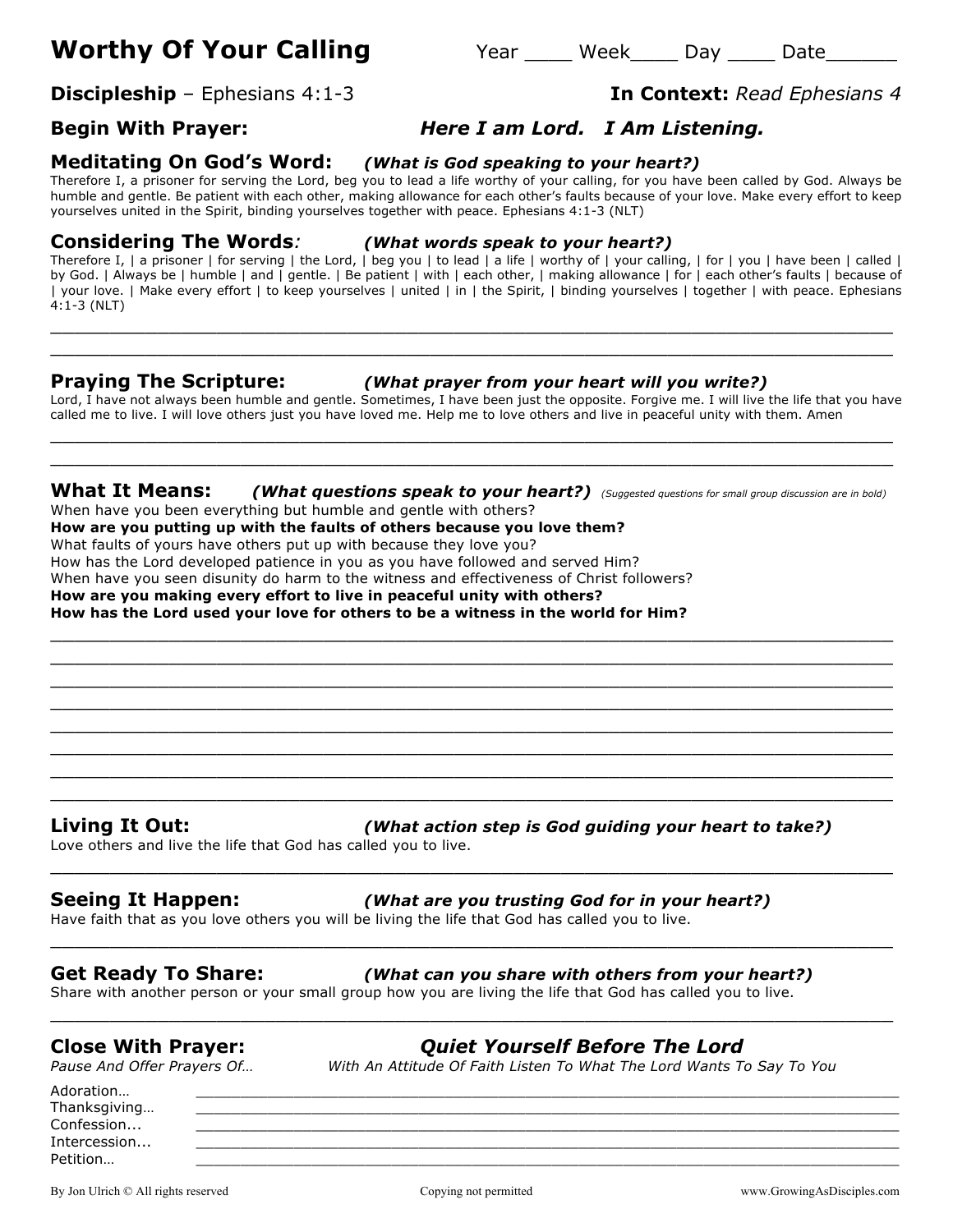# **Worthy Of Your Calling** Year Meek\_\_\_\_ Day \_\_\_\_ Date\_\_\_\_\_\_

**Discipleship** – Ephesians 4:1-3 **In Context:** *Read Ephesians 4*

# **Begin With Prayer:** *Here I am Lord. I Am Listening.*

# **Meditating On God's Word:** *(What is God speaking to your heart?)*

Therefore I, a prisoner for serving the Lord, beg you to lead a life worthy of your calling, for you have been called by God. Always be humble and gentle. Be patient with each other, making allowance for each other's faults because of your love. Make every effort to keep yourselves united in the Spirit, binding yourselves together with peace. Ephesians 4:1-3 (NLT)

# **Considering The Words***: (What words speak to your heart?)*

Therefore I, | a prisoner | for serving | the Lord, | beg you | to lead | a life | worthy of | your calling, | for | you | have been | called | by God. | Always be | humble | and | gentle. | Be patient | with | each other, | making allowance | for | each other's faults | because of | your love. | Make every effort | to keep yourselves | united | in | the Spirit, | binding yourselves | together | with peace. Ephesians 4:1-3 (NLT)  $\_$  , and the set of the set of the set of the set of the set of the set of the set of the set of the set of the set of the set of the set of the set of the set of the set of the set of the set of the set of the set of th

# **Praying The Scripture:** *(What prayer from your heart will you write?)*

Lord, I have not always been humble and gentle. Sometimes, I have been just the opposite. Forgive me. I will live the life that you have called me to live. I will love others just you have loved me. Help me to love others and live in peaceful unity with them. Amen  $\_$  , and the set of the set of the set of the set of the set of the set of the set of the set of the set of the set of the set of the set of the set of the set of the set of the set of the set of the set of the set of th

 $\_$  , and the set of the set of the set of the set of the set of the set of the set of the set of the set of the set of the set of the set of the set of the set of the set of the set of the set of the set of the set of th

### **What It Means:** *(What questions speak to your heart?) (Suggested questions for small group discussion are in bold)* When have you been everything but humble and gentle with others?

 $\_$  , and the set of the set of the set of the set of the set of the set of the set of the set of the set of the set of the set of the set of the set of the set of the set of the set of the set of the set of the set of th  $\_$  , and the set of the set of the set of the set of the set of the set of the set of the set of the set of the set of the set of the set of the set of the set of the set of the set of the set of the set of the set of th  $\_$  , and the set of the set of the set of the set of the set of the set of the set of the set of the set of the set of the set of the set of the set of the set of the set of the set of the set of the set of the set of th  $\_$  , and the set of the set of the set of the set of the set of the set of the set of the set of the set of the set of the set of the set of the set of the set of the set of the set of the set of the set of the set of th  $\_$  , and the set of the set of the set of the set of the set of the set of the set of the set of the set of the set of the set of the set of the set of the set of the set of the set of the set of the set of the set of th  $\_$  , and the set of the set of the set of the set of the set of the set of the set of the set of the set of the set of the set of the set of the set of the set of the set of the set of the set of the set of the set of th  $\_$  , and the set of the set of the set of the set of the set of the set of the set of the set of the set of the set of the set of the set of the set of the set of the set of the set of the set of the set of the set of th  $\_$  , and the set of the set of the set of the set of the set of the set of the set of the set of the set of the set of the set of the set of the set of the set of the set of the set of the set of the set of the set of th

 $\_$  , and the set of the set of the set of the set of the set of the set of the set of the set of the set of the set of the set of the set of the set of the set of the set of the set of the set of the set of the set of th

 $\_$  , and the set of the set of the set of the set of the set of the set of the set of the set of the set of the set of the set of the set of the set of the set of the set of the set of the set of the set of the set of th

 $\_$  , and the set of the set of the set of the set of the set of the set of the set of the set of the set of the set of the set of the set of the set of the set of the set of the set of the set of the set of the set of th

Adoration… \_\_\_\_\_\_\_\_\_\_\_\_\_\_\_\_\_\_\_\_\_\_\_\_\_\_\_\_\_\_\_\_\_\_\_\_\_\_\_\_\_\_\_\_\_\_\_\_\_\_\_\_\_\_\_\_\_\_\_\_\_\_\_\_\_\_\_\_\_\_\_\_\_\_\_\_\_\_\_

Confession... \_\_\_\_\_\_\_\_\_\_\_\_\_\_\_\_\_\_\_\_\_\_\_\_\_\_\_\_\_\_\_\_\_\_\_\_\_\_\_\_\_\_\_\_\_\_\_\_\_\_\_\_\_\_\_\_\_\_\_\_\_\_\_\_\_\_\_\_\_\_\_\_\_\_\_\_\_\_\_ Intercession... \_\_\_\_\_\_\_\_\_\_\_\_\_\_\_\_\_\_\_\_\_\_\_\_\_\_\_\_\_\_\_\_\_\_\_\_\_\_\_\_\_\_\_\_\_\_\_\_\_\_\_\_\_\_\_\_\_\_\_\_\_\_\_\_\_\_\_\_\_\_\_\_\_\_\_\_\_\_\_

 $\_$  , and the set of the set of the set of the set of the set of the set of the set of the set of the set of the set of the set of the set of the set of the set of the set of the set of the set of the set of the set of th

**How are you putting up with the faults of others because you love them?** What faults of yours have others put up with because they love you?

How has the Lord developed patience in you as you have followed and served Him?

When have you seen disunity do harm to the witness and effectiveness of Christ followers?

**How are you making every effort to live in peaceful unity with others?**

**How has the Lord used your love for others to be a witness in the world for Him?**

**Living It Out:** *(What action step is God guiding your heart to take?)*

Love others and live the life that God has called you to live.

**Seeing It Happen:** *(What are you trusting God for in your heart?)*

Have faith that as you love others you will be living the life that God has called you to live.

**Get Ready To Share:** *(What can you share with others from your heart?)*

Share with another person or your small group how you are living the life that God has called you to live.

**Close With Prayer:** *Quiet Yourself Before The Lord*

*Pause And Offer Prayers Of… With An Attitude Of Faith Listen To What The Lord Wants To Say To You*

Petition… \_\_\_\_\_\_\_\_\_\_\_\_\_\_\_\_\_\_\_\_\_\_\_\_\_\_\_\_\_\_\_\_\_\_\_\_\_\_\_\_\_\_\_\_\_\_\_\_\_\_\_\_\_\_\_\_\_\_\_\_\_\_\_\_\_\_\_\_\_\_\_\_\_\_\_\_\_\_\_

Thanksgiving...